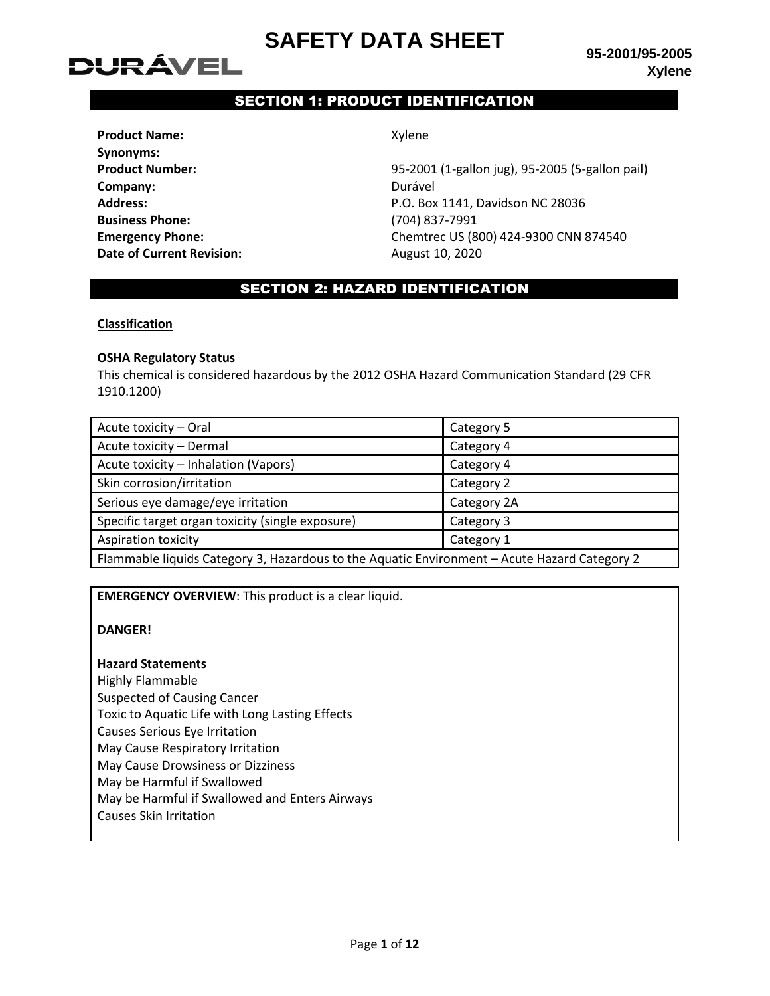# **DURÁVEL**

**95-2001/95-2005 Xylene**

## SECTION 1: PRODUCT IDENTIFICATION

| <b>Product Name:</b>             |
|----------------------------------|
| <b>Synonyms:</b>                 |
| <b>Product Number:</b>           |
| Company:                         |
| Address:                         |
| <b>Business Phone:</b>           |
| <b>Emergency Phone:</b>          |
| <b>Date of Current Revision:</b> |

**Product Name:** Xylene

**Product Number:** 95-2001 (1-gallon jug), 95-2005 (5-gallon pail) **Company:** Durável **Address:** P.O. Box 1141, Davidson NC 28036 **Business Phone:** (704) 837-7991 **Emergency Phone:** Chemtrec US (800) 424-9300 CNN 874540 **Date of Current Revision:** August 10, 2020

## SECTION 2: HAZARD IDENTIFICATION

#### **Classification**

#### **OSHA Regulatory Status**

This chemical is considered hazardous by the 2012 OSHA Hazard Communication Standard (29 CFR 1910.1200)

| Acute toxicity - Oral                                                                        | Category 5  |  |
|----------------------------------------------------------------------------------------------|-------------|--|
| Acute toxicity - Dermal                                                                      | Category 4  |  |
| Acute toxicity - Inhalation (Vapors)                                                         | Category 4  |  |
| Skin corrosion/irritation                                                                    | Category 2  |  |
| Serious eye damage/eye irritation                                                            | Category 2A |  |
| Specific target organ toxicity (single exposure)                                             | Category 3  |  |
| <b>Aspiration toxicity</b>                                                                   | Category 1  |  |
| Flammable liquids Category 3, Hazardous to the Aquatic Environment - Acute Hazard Category 2 |             |  |

**EMERGENCY OVERVIEW**: This product is a clear liquid.

#### **DANGER!**

#### **Hazard Statements**

Highly Flammable Suspected of Causing Cancer Toxic to Aquatic Life with Long Lasting Effects Causes Serious Eye Irritation May Cause Respiratory Irritation May Cause Drowsiness or Dizziness May be Harmful if Swallowed May be Harmful if Swallowed and Enters Airways Causes Skin Irritation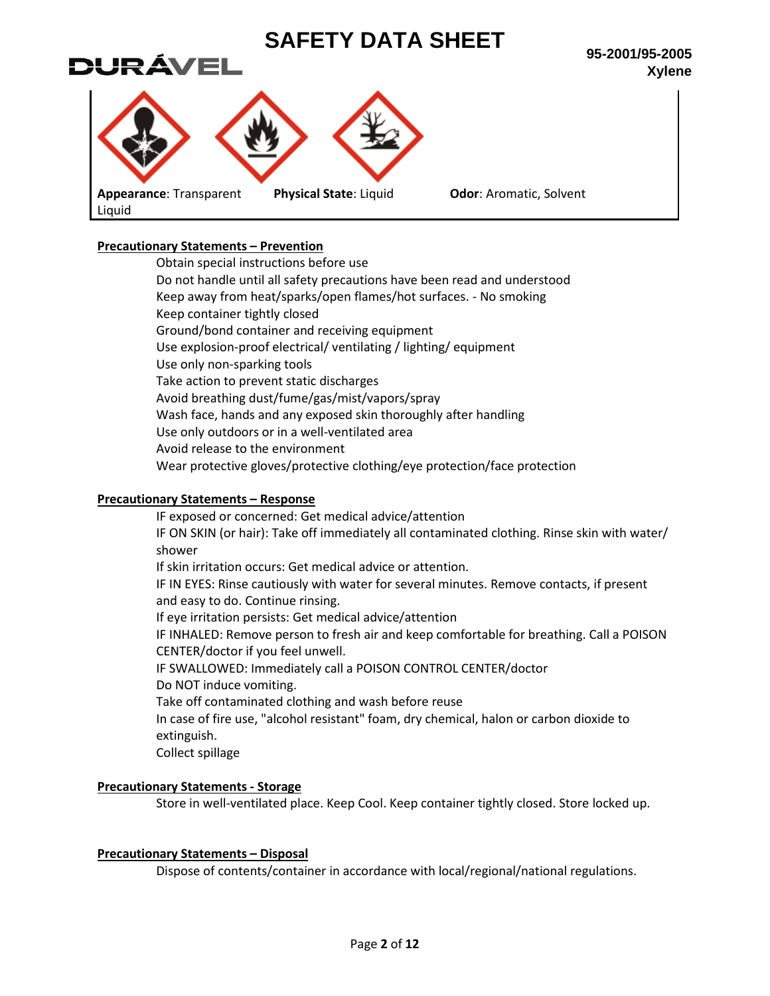

## **Precautionary Statements – Prevention**

Obtain special instructions before use Do not handle until all safety precautions have been read and understood Keep away from heat/sparks/open flames/hot surfaces. - No smoking Keep container tightly closed Ground/bond container and receiving equipment Use explosion-proof electrical/ ventilating / lighting/ equipment Use only non-sparking tools Take action to prevent static discharges Avoid breathing dust/fume/gas/mist/vapors/spray Wash face, hands and any exposed skin thoroughly after handling Use only outdoors or in a well-ventilated area Avoid release to the environment Wear protective gloves/protective clothing/eye protection/face protection

### **Precautionary Statements – Response**

IF exposed or concerned: Get medical advice/attention IF ON SKIN (or hair): Take off immediately all contaminated clothing. Rinse skin with water/ shower If skin irritation occurs: Get medical advice or attention. IF IN EYES: Rinse cautiously with water for several minutes. Remove contacts, if present and easy to do. Continue rinsing. If eye irritation persists: Get medical advice/attention IF INHALED: Remove person to fresh air and keep comfortable for breathing. Call a POISON CENTER/doctor if you feel unwell. IF SWALLOWED: Immediately call a POISON CONTROL CENTER/doctor Do NOT induce vomiting. Take off contaminated clothing and wash before reuse In case of fire use, "alcohol resistant" foam, dry chemical, halon or carbon dioxide to extinguish. Collect spillage

## **Precautionary Statements - Storage**

Store in well-ventilated place. Keep Cool. Keep container tightly closed. Store locked up.

#### **Precautionary Statements – Disposal**

Dispose of contents/container in accordance with local/regional/national regulations.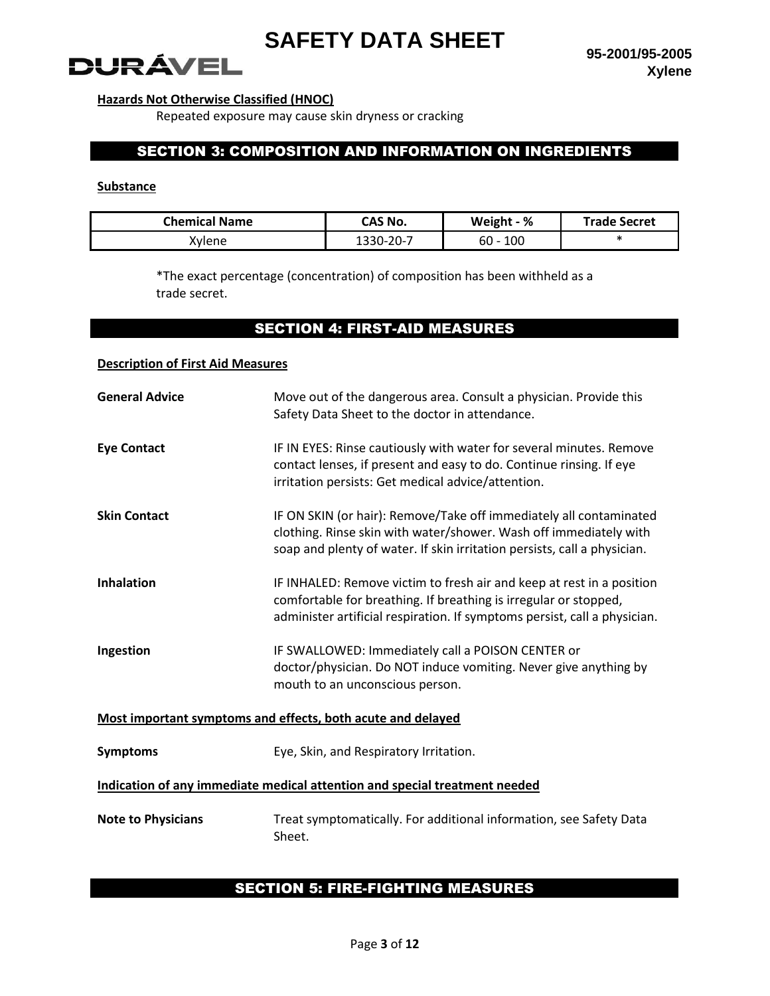**95-2001/95-2005 Xylene**

# **DURÁVEL**

## **Hazards Not Otherwise Classified (HNOC)**

Repeated exposure may cause skin dryness or cracking

## SECTION 3: COMPOSITION AND INFORMATION ON INGREDIENTS

### **Substance**

| <b>Chemical Name</b> | CAS No.   | Weight - %    | <b>Trade Secret</b> |
|----------------------|-----------|---------------|---------------------|
| Kvlene               | 1330-20-7 | 100<br>$60 -$ |                     |

\*The exact percentage (concentration) of composition has been withheld as a trade secret.

## SECTION 4: FIRST-AID MEASURES

## **Description of First Aid Measures**

| <b>General Advice</b>                                                      | Move out of the dangerous area. Consult a physician. Provide this<br>Safety Data Sheet to the doctor in attendance.                                                                                                    |  |
|----------------------------------------------------------------------------|------------------------------------------------------------------------------------------------------------------------------------------------------------------------------------------------------------------------|--|
| <b>Eye Contact</b>                                                         | IF IN EYES: Rinse cautiously with water for several minutes. Remove<br>contact lenses, if present and easy to do. Continue rinsing. If eye<br>irritation persists: Get medical advice/attention.                       |  |
| <b>Skin Contact</b>                                                        | IF ON SKIN (or hair): Remove/Take off immediately all contaminated<br>clothing. Rinse skin with water/shower. Wash off immediately with<br>soap and plenty of water. If skin irritation persists, call a physician.    |  |
| <b>Inhalation</b>                                                          | IF INHALED: Remove victim to fresh air and keep at rest in a position<br>comfortable for breathing. If breathing is irregular or stopped,<br>administer artificial respiration. If symptoms persist, call a physician. |  |
| Ingestion                                                                  | IF SWALLOWED: Immediately call a POISON CENTER or<br>doctor/physician. Do NOT induce vomiting. Never give anything by<br>mouth to an unconscious person.                                                               |  |
| Most important symptoms and effects, both acute and delayed                |                                                                                                                                                                                                                        |  |
| <b>Symptoms</b>                                                            | Eye, Skin, and Respiratory Irritation.                                                                                                                                                                                 |  |
| Indication of any immediate medical attention and special treatment needed |                                                                                                                                                                                                                        |  |
| <b>Note to Physicians</b>                                                  | Treat symptomatically. For additional information, see Safety Data<br>Sheet.                                                                                                                                           |  |

## SECTION 5: FIRE-FIGHTING MEASURES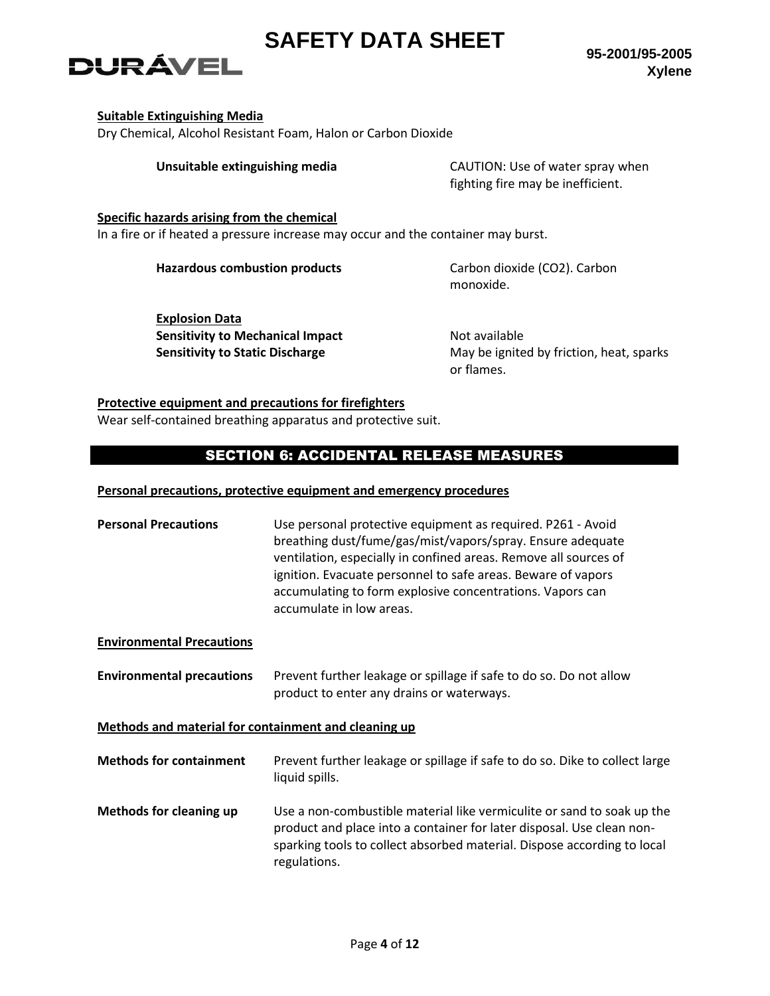**95-2001/95-2005 Xylene**

# DURÁVEL

### **Suitable Extinguishing Media**

Dry Chemical, Alcohol Resistant Foam, Halon or Carbon Dioxide

**Unsuitable extinguishing media** CAUTION: Use of water spray when fighting fire may be inefficient.

**Specific hazards arising from the chemical**

In a fire or if heated a pressure increase may occur and the container may burst.

Hazardous combustion products **Carbon dioxide (CO2)**. Carbon

monoxide.

**Explosion Data Sensitivity to Mechanical Impact Mechanical Impact Not available** 

**Sensitivity to Static Discharge** May be ignited by friction, heat, sparks or flames.

## **Protective equipment and precautions for firefighters**

Wear self-contained breathing apparatus and protective suit.

## SECTION 6: ACCIDENTAL RELEASE MEASURES

## **Personal precautions, protective equipment and emergency procedures**

| <b>Personal Precautions</b> | Use personal protective equipment as required. P261 - Avoid<br>breathing dust/fume/gas/mist/vapors/spray. Ensure adequate<br>ventilation, especially in confined areas. Remove all sources of<br>ignition. Evacuate personnel to safe areas. Beware of vapors<br>accumulating to form explosive concentrations. Vapors can<br>accumulate in low areas. |
|-----------------------------|--------------------------------------------------------------------------------------------------------------------------------------------------------------------------------------------------------------------------------------------------------------------------------------------------------------------------------------------------------|
|                             |                                                                                                                                                                                                                                                                                                                                                        |

## **Environmental Precautions**

**Environmental precautions** Prevent further leakage or spillage if safe to do so. Do not allow product to enter any drains or waterways.

## **Methods and material for containment and cleaning up**

| <b>Methods for containment</b> | Prevent further leakage or spillage if safe to do so. Dike to collect large<br>liquid spills.                                                                                                                                              |
|--------------------------------|--------------------------------------------------------------------------------------------------------------------------------------------------------------------------------------------------------------------------------------------|
| <b>Methods for cleaning up</b> | Use a non-combustible material like vermiculite or sand to soak up the<br>product and place into a container for later disposal. Use clean non-<br>sparking tools to collect absorbed material. Dispose according to local<br>regulations. |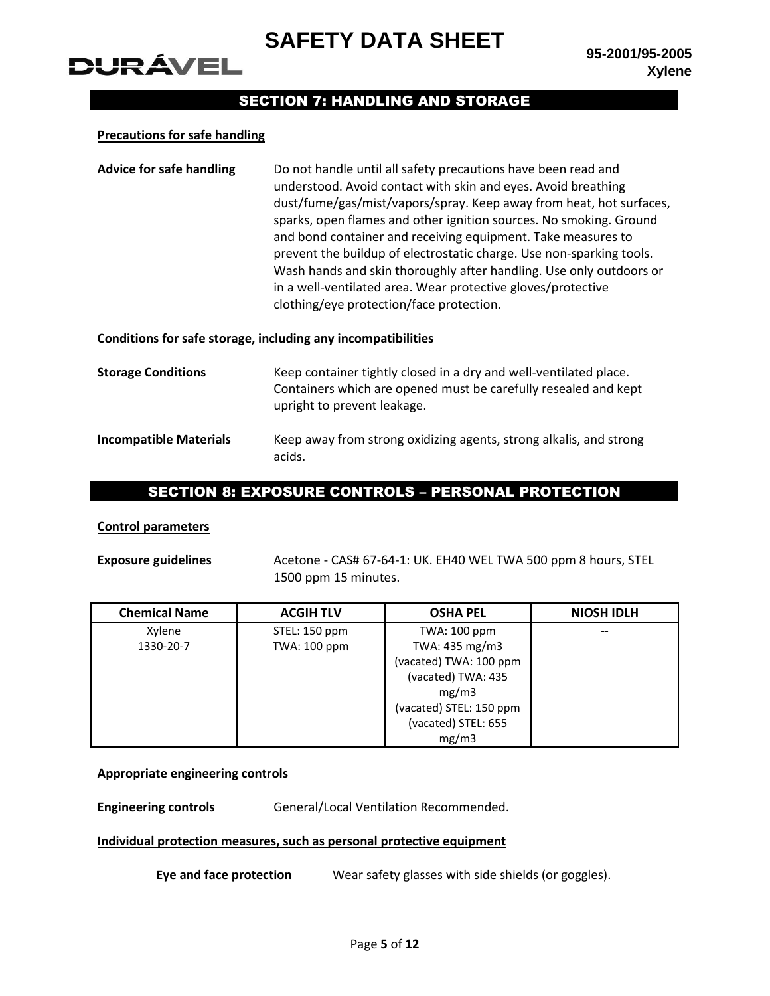

## SECTION 7: HANDLING AND STORAGE

#### **Precautions for safe handling**

DURÁVEL

**Advice for safe handling** Do not handle until all safety precautions have been read and understood. Avoid contact with skin and eyes. Avoid breathing dust/fume/gas/mist/vapors/spray. Keep away from heat, hot surfaces, sparks, open flames and other ignition sources. No smoking. Ground and bond container and receiving equipment. Take measures to prevent the buildup of electrostatic charge. Use non-sparking tools. Wash hands and skin thoroughly after handling. Use only outdoors or in a well-ventilated area. Wear protective gloves/protective clothing/eye protection/face protection.

#### **Conditions for safe storage, including any incompatibilities**

| <b>Storage Conditions</b>     | Keep container tightly closed in a dry and well-ventilated place.<br>Containers which are opened must be carefully resealed and kept<br>upright to prevent leakage. |
|-------------------------------|---------------------------------------------------------------------------------------------------------------------------------------------------------------------|
| <b>Incompatible Materials</b> | Keep away from strong oxidizing agents, strong alkalis, and strong<br>acids.                                                                                        |

## SECTION 8: EXPOSURE CONTROLS – PERSONAL PROTECTION

#### **Control parameters**

**Exposure guidelines** Acetone - CAS# 67-64-1: UK. EH40 WEL TWA 500 ppm 8 hours, STEL 1500 ppm 15 minutes.

| <b>Chemical Name</b> | <b>ACGIH TLV</b> | <b>OSHA PEL</b>         | <b>NIOSH IDLH</b> |
|----------------------|------------------|-------------------------|-------------------|
| Xylene               | STEL: 150 ppm    | TWA: 100 ppm            |                   |
| 1330-20-7            | TWA: 100 ppm     | TWA: 435 mg/m3          |                   |
|                      |                  | (vacated) TWA: 100 ppm  |                   |
|                      |                  | (vacated) TWA: 435      |                   |
|                      |                  | mg/m3                   |                   |
|                      |                  | (vacated) STEL: 150 ppm |                   |
|                      |                  | (vacated) STEL: 655     |                   |
|                      |                  | mg/m3                   |                   |

#### **Appropriate engineering controls**

**Engineering controls General/Local Ventilation Recommended.** 

#### **Individual protection measures, such as personal protective equipment**

**Eye and face protection** Wear safety glasses with side shields (or goggles).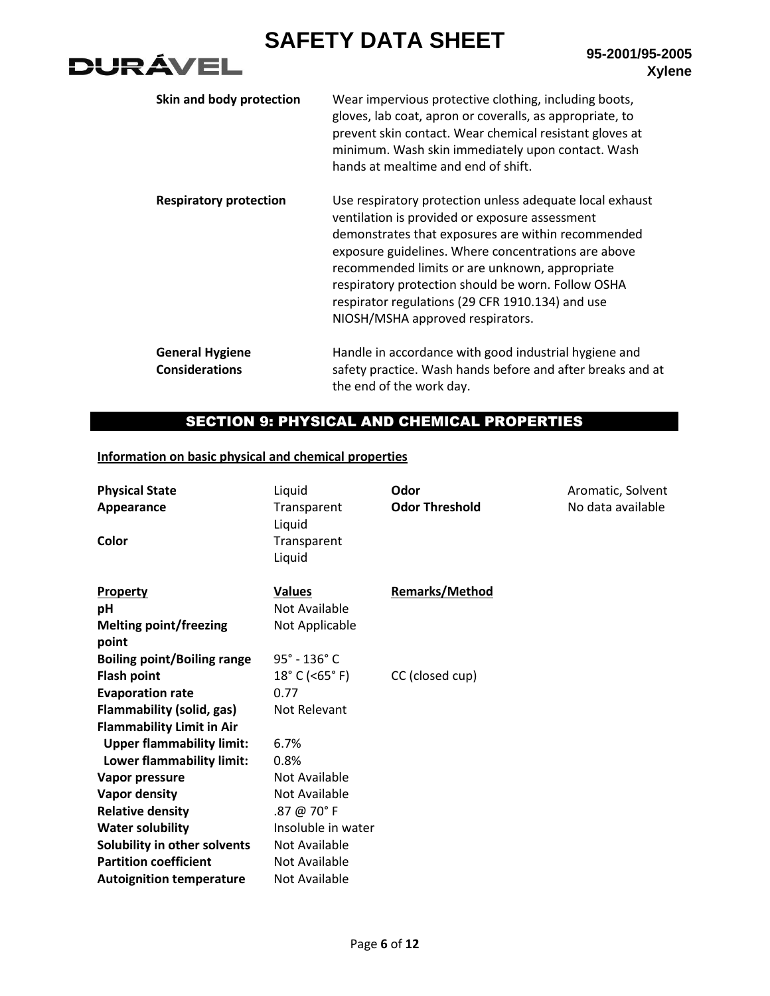

| Skin and body protection                        | Wear impervious protective clothing, including boots,<br>gloves, lab coat, apron or coveralls, as appropriate, to<br>prevent skin contact. Wear chemical resistant gloves at<br>minimum. Wash skin immediately upon contact. Wash<br>hands at mealtime and end of shift.                                                                                                                                                |
|-------------------------------------------------|-------------------------------------------------------------------------------------------------------------------------------------------------------------------------------------------------------------------------------------------------------------------------------------------------------------------------------------------------------------------------------------------------------------------------|
| <b>Respiratory protection</b>                   | Use respiratory protection unless adequate local exhaust<br>ventilation is provided or exposure assessment<br>demonstrates that exposures are within recommended<br>exposure guidelines. Where concentrations are above<br>recommended limits or are unknown, appropriate<br>respiratory protection should be worn. Follow OSHA<br>respirator regulations (29 CFR 1910.134) and use<br>NIOSH/MSHA approved respirators. |
| <b>General Hygiene</b><br><b>Considerations</b> | Handle in accordance with good industrial hygiene and<br>safety practice. Wash hands before and after breaks and at                                                                                                                                                                                                                                                                                                     |

## SECTION 9: PHYSICAL AND CHEMICAL PROPERTIES

the end of the work day.

## **Information on basic physical and chemical properties**

| <b>Physical State</b><br>Appearance<br>Color                  | Liquid<br>Transparent<br>Liquid<br>Transparent<br>Liquid | Odor<br><b>Odor Threshold</b> | Aromatic, Solvent<br>No data available |
|---------------------------------------------------------------|----------------------------------------------------------|-------------------------------|----------------------------------------|
| Property<br>pH<br><b>Melting point/freezing</b>               | <b>Values</b><br>Not Available<br>Not Applicable         | <b>Remarks/Method</b>         |                                        |
| point                                                         |                                                          |                               |                                        |
| <b>Boiling point/Boiling range</b>                            | $95^\circ - 136^\circ$ C                                 |                               |                                        |
| <b>Flash point</b><br><b>Evaporation rate</b>                 | $18^{\circ}$ C (<65 $^{\circ}$ F)<br>0.77                | CC (closed cup)               |                                        |
| <b>Flammability (solid, gas)</b>                              | Not Relevant                                             |                               |                                        |
| <b>Flammability Limit in Air</b>                              | 6.7%                                                     |                               |                                        |
| <b>Upper flammability limit:</b><br>Lower flammability limit: | 0.8%                                                     |                               |                                        |
| Vapor pressure                                                | Not Available                                            |                               |                                        |
| Vapor density                                                 | Not Available                                            |                               |                                        |
| <b>Relative density</b>                                       | .87 @ 70° F                                              |                               |                                        |
| <b>Water solubility</b>                                       | Insoluble in water                                       |                               |                                        |
| Solubility in other solvents                                  | Not Available                                            |                               |                                        |
| <b>Partition coefficient</b>                                  | Not Available                                            |                               |                                        |
| <b>Autoignition temperature</b>                               | Not Available                                            |                               |                                        |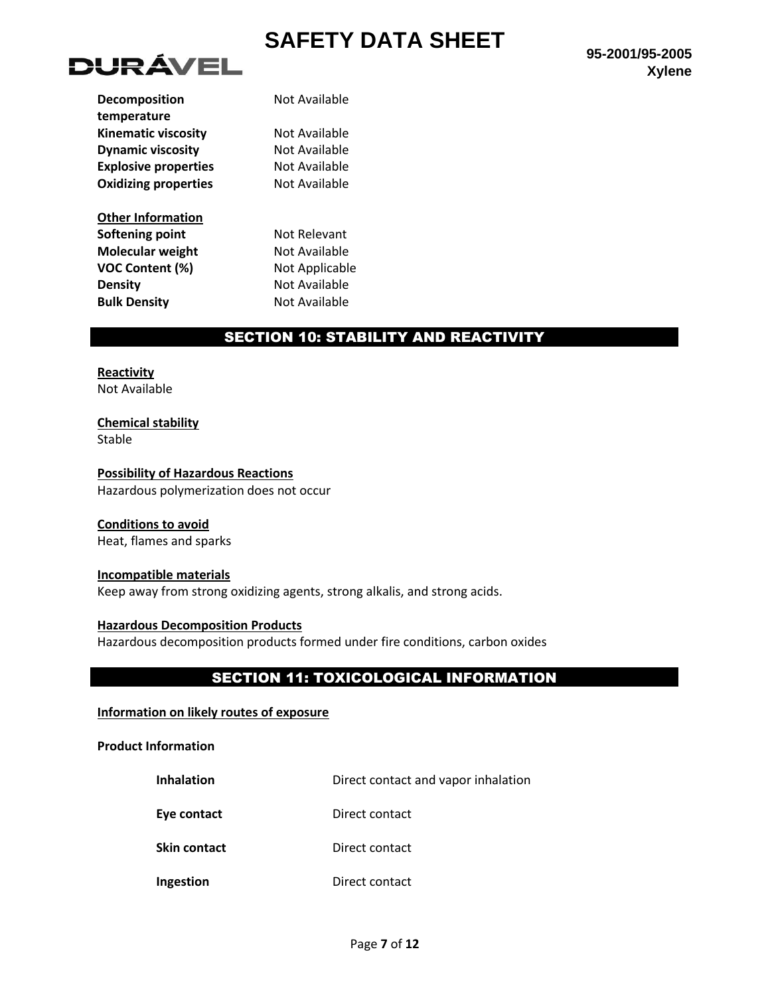

| <b>Decomposition</b>        | Not Available  |
|-----------------------------|----------------|
| temperature                 |                |
| <b>Kinematic viscosity</b>  | Not Available  |
| <b>Dynamic viscosity</b>    | Not Available  |
| <b>Explosive properties</b> | Not Available  |
| <b>Oxidizing properties</b> | Not Available  |
| <b>Other Information</b>    |                |
| Softening point             | Not Relevant   |
| Molecular weight            | Not Available  |
| <b>VOC Content (%)</b>      | Not Applicable |
| <b>Density</b>              | Not Available  |
| <b>Bulk Density</b>         | Not Available  |
|                             |                |

## SECTION 10: STABILITY AND REACTIVITY

**Reactivity** Not Available

**Chemical stability** Stable

**Possibility of Hazardous Reactions** Hazardous polymerization does not occur

## **Conditions to avoid**

Heat, flames and sparks

#### **Incompatible materials**

Keep away from strong oxidizing agents, strong alkalis, and strong acids.

## **Hazardous Decomposition Products**

Hazardous decomposition products formed under fire conditions, carbon oxides

## SECTION 11: TOXICOLOGICAL INFORMATION

### **Information on likely routes of exposure**

**Product Information**

| <b>Inhalation</b>   | Direct contact and vapor inhalation |
|---------------------|-------------------------------------|
| Eye contact         | Direct contact                      |
| <b>Skin contact</b> | Direct contact                      |
| Ingestion           | Direct contact                      |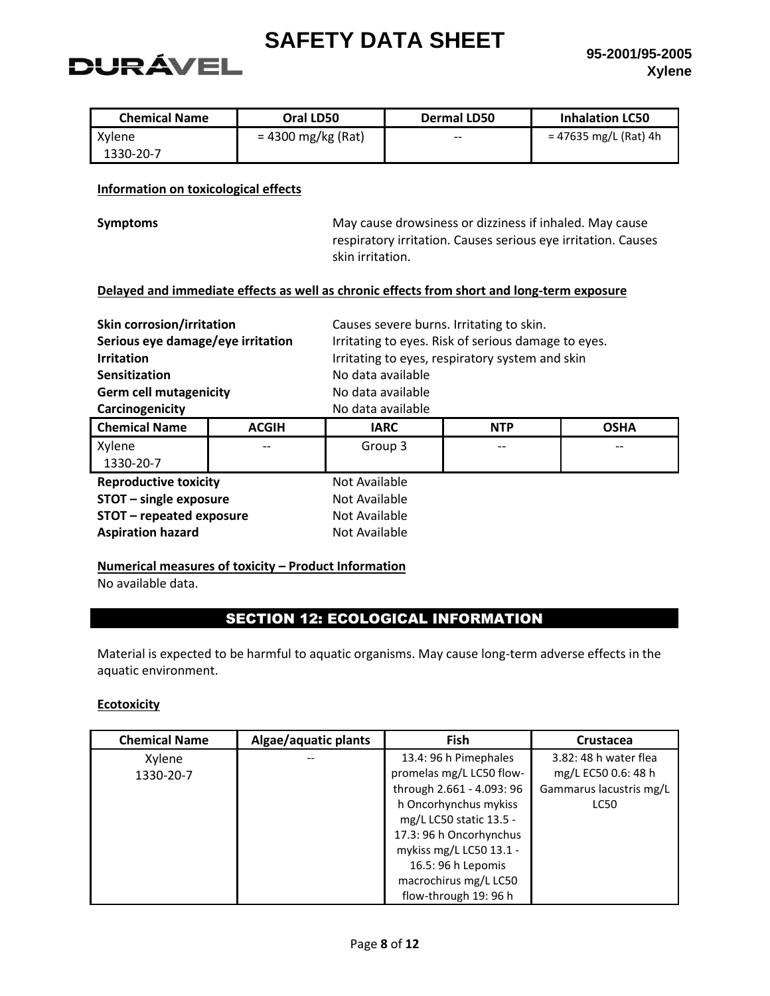# DURÁVEL

| <b>Chemical Name</b> | Oral LD50            | Dermal LD50 | <b>Inhalation LC50</b> |
|----------------------|----------------------|-------------|------------------------|
| Xylene               | $= 4300$ mg/kg (Rat) | $- -$       | = 47635 mg/L (Rat) 4h  |
| 1330-20-7            |                      |             |                        |

### **Information on toxicological effects**

**Symptoms** May cause drowsiness or dizziness if inhaled. May cause respiratory irritation. Causes serious eye irritation. Causes skin irritation.

#### **Delayed and immediate effects as well as chronic effects from short and long-term exposure**

| <b>Skin corrosion/irritation</b>  | Causes severe burns. Irritating to skin.            |
|-----------------------------------|-----------------------------------------------------|
| Serious eye damage/eye irritation | Irritating to eyes. Risk of serious damage to eyes. |
| <b>Irritation</b>                 | Irritating to eyes, respiratory system and skin     |
| Sensitization                     | No data available                                   |
| <b>Germ cell mutagenicity</b>     | No data available                                   |
| Carcinogenicity                   | No data available                                   |

| <b>Chemical Name</b>         | <b>ACGIH</b> | <b>IARC</b>   | <b>NTP</b> | <b>OSHA</b> |
|------------------------------|--------------|---------------|------------|-------------|
| Xylene                       | $- -$        | Group 3       | $- -$      |             |
| 1330-20-7                    |              |               |            |             |
| <b>Reproductive toxicity</b> |              | Not Available |            |             |
| STOT - single exposure       |              | Not Available |            |             |
| STOT - repeated exposure     |              | Not Available |            |             |
| <b>Aspiration hazard</b>     |              | Not Available |            |             |

## **Numerical measures of toxicity – Product Information**

No available data.

## SECTION 12: ECOLOGICAL INFORMATION

Material is expected to be harmful to aquatic organisms. May cause long-term adverse effects in the aquatic environment.

#### **Ecotoxicity**

| <b>Chemical Name</b> | Algae/aquatic plants | <b>Fish</b>               | Crustacea               |
|----------------------|----------------------|---------------------------|-------------------------|
| Xylene               |                      | 13.4: 96 h Pimephales     | 3.82: 48 h water flea   |
| 1330-20-7            |                      | promelas mg/L LC50 flow-  | mg/L EC50 0.6: 48 h     |
|                      |                      | through 2.661 - 4.093: 96 | Gammarus lacustris mg/L |
|                      |                      | h Oncorhynchus mykiss     | <b>LC50</b>             |
|                      |                      | mg/L LC50 static 13.5 -   |                         |
|                      |                      | 17.3: 96 h Oncorhynchus   |                         |
|                      |                      | mykiss mg/L LC50 13.1 -   |                         |
|                      |                      | 16.5: 96 h Lepomis        |                         |
|                      |                      | macrochirus mg/L LC50     |                         |
|                      |                      | flow-through 19: 96 h     |                         |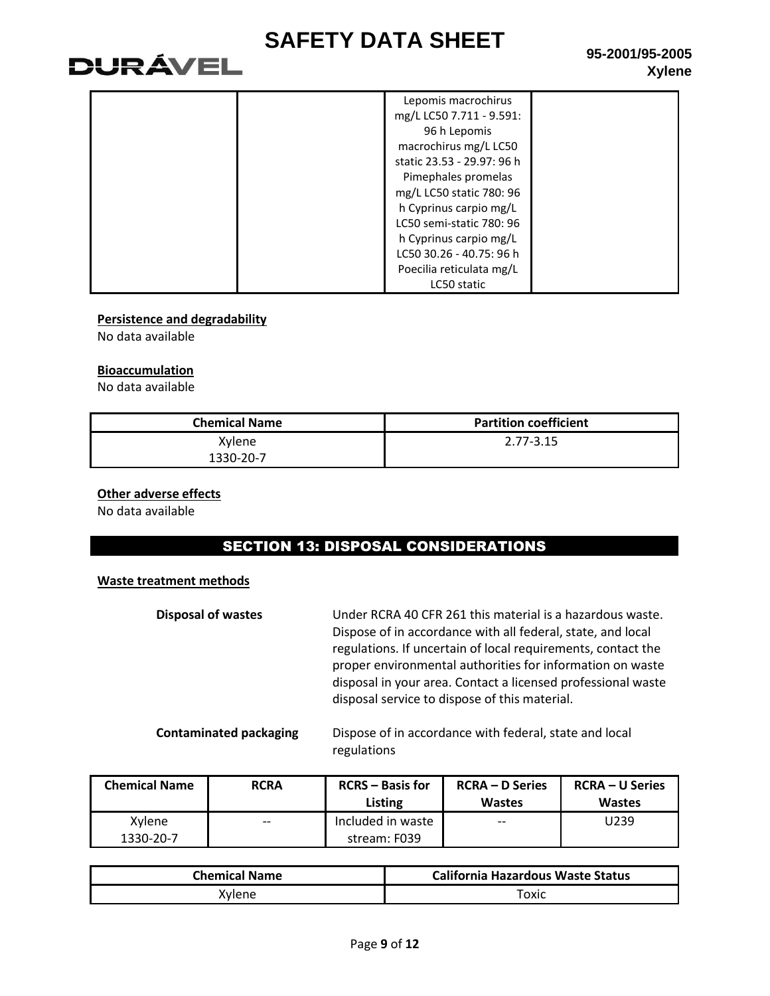# **DURÁVEL**

| Lepomis macrochirus        |  |
|----------------------------|--|
| mg/L LC50 7.711 - 9.591:   |  |
| 96 h Lepomis               |  |
| macrochirus mg/L LC50      |  |
| static 23.53 - 29.97: 96 h |  |
| Pimephales promelas        |  |
| mg/L LC50 static 780: 96   |  |
| h Cyprinus carpio mg/L     |  |
| LC50 semi-static 780: 96   |  |
| h Cyprinus carpio mg/L     |  |
| LC50 30.26 - 40.75: 96 h   |  |
| Poecilia reticulata mg/L   |  |
| LC50 static                |  |

### **Persistence and degradability**

No data available

#### **Bioaccumulation**

No data available

| <b>Chemical Name</b> | <b>Partition coefficient</b> |
|----------------------|------------------------------|
| Xylene               | $2.77 - 3.15$                |
| 1330-20-7            |                              |

## **Other adverse effects**

No data available

## SECTION 13: DISPOSAL CONSIDERATIONS

#### **Waste treatment methods**

| <b>Disposal of wastes</b> | Under RCRA 40 CFR 261 this material is a hazardous waste.<br>Dispose of in accordance with all federal, state, and local<br>regulations. If uncertain of local requirements, contact the<br>proper environmental authorities for information on waste<br>disposal in your area. Contact a licensed professional waste<br>disposal service to dispose of this material. |
|---------------------------|------------------------------------------------------------------------------------------------------------------------------------------------------------------------------------------------------------------------------------------------------------------------------------------------------------------------------------------------------------------------|
|                           |                                                                                                                                                                                                                                                                                                                                                                        |

**Contaminated packaging** Dispose of in accordance with federal, state and local regulations

| <b>Chemical Name</b> | <b>RCRA</b> | <b>RCRS</b> – Basis for<br>Listing | <b>RCRA – D Series</b><br><b>Wastes</b> | <b>RCRA – U Series</b><br><b>Wastes</b> |
|----------------------|-------------|------------------------------------|-----------------------------------------|-----------------------------------------|
| Xylene               | $- -$       | Included in waste                  | $- -$                                   | U239                                    |
| 1330-20-7            |             | stream: F039                       |                                         |                                         |

| <b>Chemical Name</b> | <b>California Hazardous Waste Status</b> |
|----------------------|------------------------------------------|
| Xvlene               | тохіс                                    |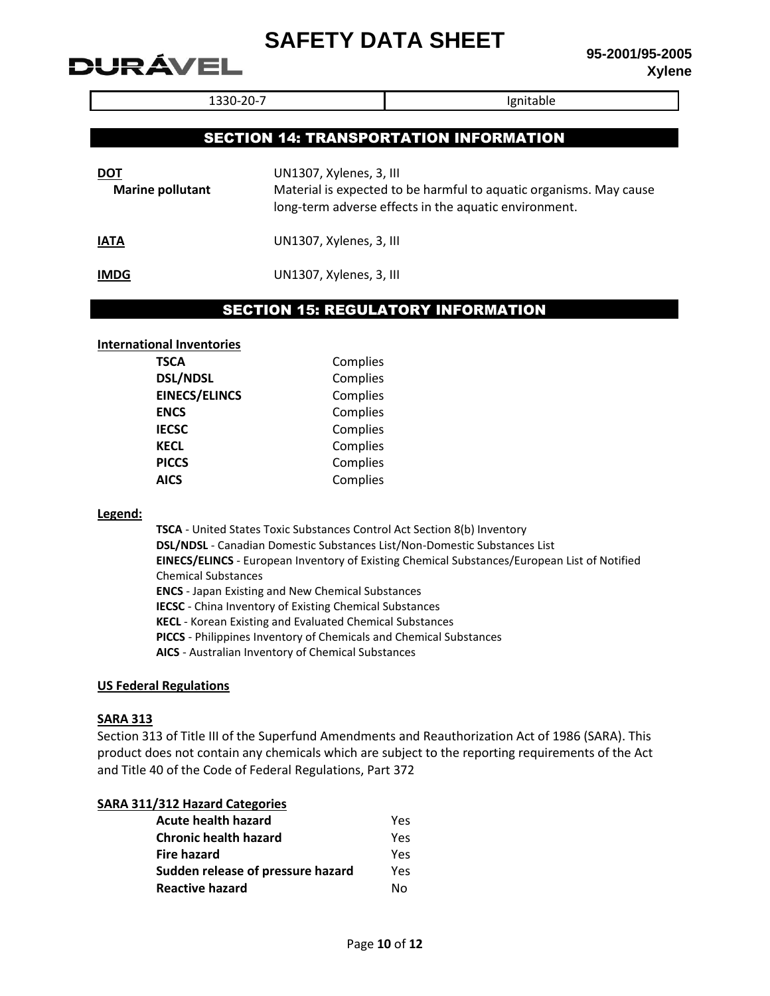**95-2001/95-2005 Xylene**

1330-20-7 **Ignitable** 

## SECTION 14: TRANSPORTATION INFORMATION

| DOT                     | UN1307, Xylenes, 3, III                                                                                                     |
|-------------------------|-----------------------------------------------------------------------------------------------------------------------------|
| <b>Marine pollutant</b> | Material is expected to be harmful to aquatic organisms. May cause<br>long-term adverse effects in the aquatic environment. |
| ΙΔΤΔ                    | 11N1307 Xylanac 3 111                                                                                                       |

**IATA** UN1307, Xylenes, 3, III

**IMDG** UN1307, Xylenes, 3, III

## SECTION 15: REGULATORY INFORMATION

#### **International Inventories**

DURÁVEL

| <b>TSCA</b>          | Complies |
|----------------------|----------|
| <b>DSL/NDSL</b>      | Complies |
| <b>EINECS/ELINCS</b> | Complies |
| <b>ENCS</b>          | Complies |
| <b>IECSC</b>         | Complies |
| <b>KECL</b>          | Complies |
| <b>PICCS</b>         | Complies |
| <b>AICS</b>          | Complies |
|                      |          |

#### **Legend:**

**TSCA** - United States Toxic Substances Control Act Section 8(b) Inventory **DSL/NDSL** - Canadian Domestic Substances List/Non-Domestic Substances List **EINECS/ELINCS** - European Inventory of Existing Chemical Substances/European List of Notified Chemical Substances **ENCS** - Japan Existing and New Chemical Substances **IECSC** - China Inventory of Existing Chemical Substances **KECL** - Korean Existing and Evaluated Chemical Substances **PICCS** - Philippines Inventory of Chemicals and Chemical Substances **AICS** - Australian Inventory of Chemical Substances

#### **US Federal Regulations**

#### **SARA 313**

Section 313 of Title III of the Superfund Amendments and Reauthorization Act of 1986 (SARA). This product does not contain any chemicals which are subject to the reporting requirements of the Act and Title 40 of the Code of Federal Regulations, Part 372

### **SARA 311/312 Hazard Categories**

| Acute health hazard               | Yes |
|-----------------------------------|-----|
| <b>Chronic health hazard</b>      | Yes |
| <b>Fire hazard</b>                | Yes |
| Sudden release of pressure hazard | Yes |
| <b>Reactive hazard</b>            | N٥  |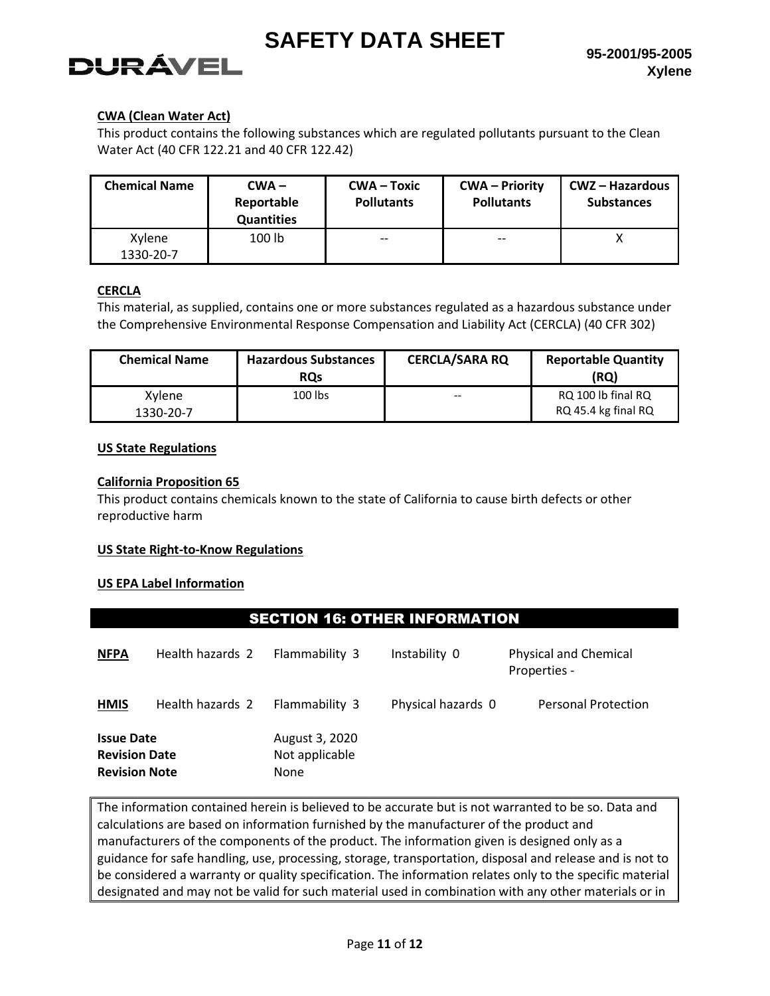## **95-2001/95-2005 Xylene**

# **DURÁVEL**

## **CWA (Clean Water Act)**

This product contains the following substances which are regulated pollutants pursuant to the Clean Water Act (40 CFR 122.21 and 40 CFR 122.42)

| <b>Chemical Name</b> | $CWA -$<br>Reportable<br><b>Quantities</b> | CWA – Toxic<br><b>Pollutants</b> | <b>CWA</b> – Priority<br><b>Pollutants</b> | CWZ – Hazardous<br><b>Substances</b> |
|----------------------|--------------------------------------------|----------------------------------|--------------------------------------------|--------------------------------------|
| Xylene<br>1330-20-7  | 100 lb                                     | $- -$                            | $- -$                                      |                                      |

## **CERCLA**

This material, as supplied, contains one or more substances regulated as a hazardous substance under the Comprehensive Environmental Response Compensation and Liability Act (CERCLA) (40 CFR 302)

| <b>Chemical Name</b> | <b>Hazardous Substances</b><br><b>ROs</b> | <b>CERCLA/SARA RQ</b> | <b>Reportable Quantity</b><br>(RQ)        |
|----------------------|-------------------------------------------|-----------------------|-------------------------------------------|
| Xylene<br>1330-20-7  | 100 lbs                                   | $- -$                 | RQ 100 lb final RQ<br>RQ 45.4 kg final RQ |

## **US State Regulations**

## **California Proposition 65**

This product contains chemicals known to the state of California to cause birth defects or other reproductive harm

## **US State Right-to-Know Regulations**

## **US EPA Label Information**

## SECTION 16: OTHER INFORMATION

| <b>NFPA</b>                                                       | Health hazards 2 | Flammability 3                           | Instability 0      | <b>Physical and Chemical</b><br>Properties - |
|-------------------------------------------------------------------|------------------|------------------------------------------|--------------------|----------------------------------------------|
| <b>HMIS</b>                                                       | Health hazards 2 | Flammability 3                           | Physical hazards 0 | <b>Personal Protection</b>                   |
| <b>Issue Date</b><br><b>Revision Date</b><br><b>Revision Note</b> |                  | August 3, 2020<br>Not applicable<br>None |                    |                                              |

The information contained herein is believed to be accurate but is not warranted to be so. Data and calculations are based on information furnished by the manufacturer of the product and manufacturers of the components of the product. The information given is designed only as a guidance for safe handling, use, processing, storage, transportation, disposal and release and is not to be considered a warranty or quality specification. The information relates only to the specific material designated and may not be valid for such material used in combination with any other materials or in